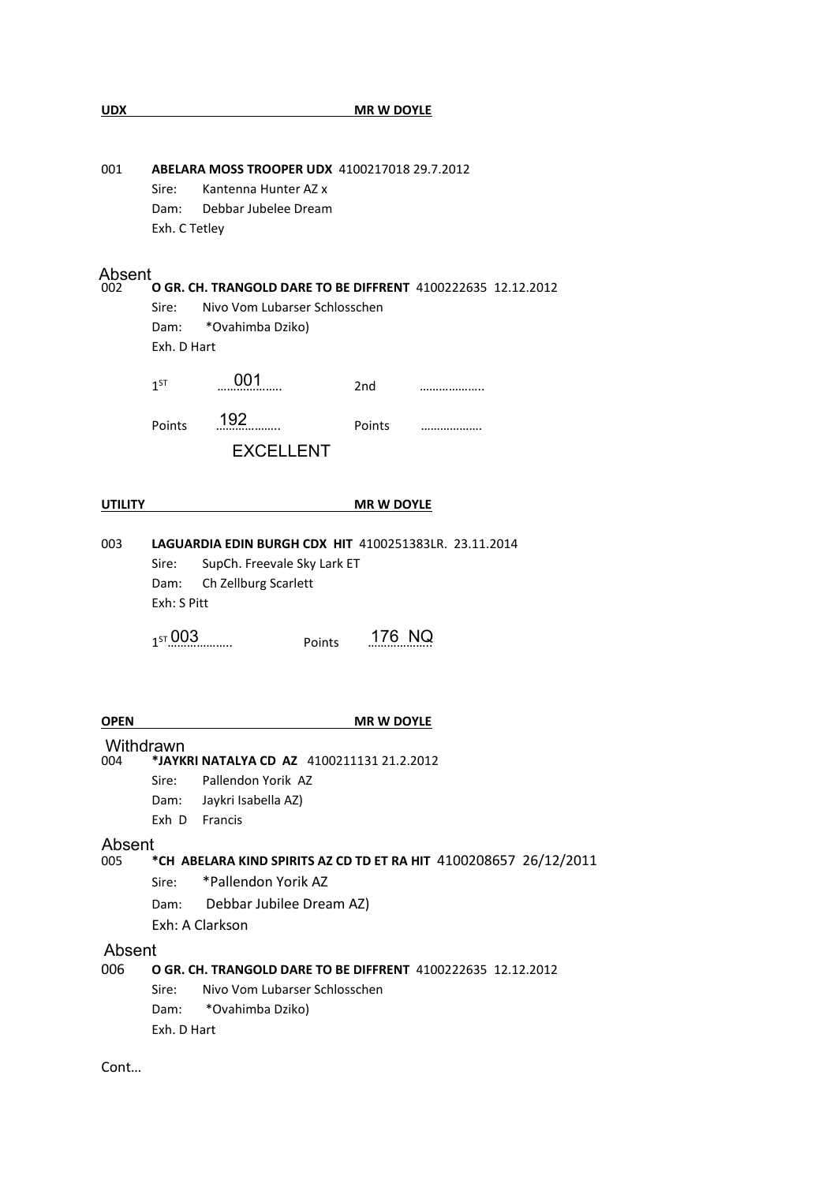| <b>UDX</b>     | <b>MR W DOYLE</b>                                                                                                                                                                 |  |  |  |  |  |  |  |
|----------------|-----------------------------------------------------------------------------------------------------------------------------------------------------------------------------------|--|--|--|--|--|--|--|
|                |                                                                                                                                                                                   |  |  |  |  |  |  |  |
| 001            | ABELARA MOSS TROOPER UDX 4100217018 29.7.2012<br>Sire:<br>Kantenna Hunter AZ x<br>Debbar Jubelee Dream<br>Dam:<br>Exh. C Tetley                                                   |  |  |  |  |  |  |  |
|                |                                                                                                                                                                                   |  |  |  |  |  |  |  |
| 002            | Absent<br>O GR. CH. TRANGOLD DARE TO BE DIFFRENT 4100222635 12.12.2012<br>Nivo Vom Lubarser Schlosschen<br>Sire:<br>*Ovahimba Dziko)<br>Dam:<br>Exh. D Hart                       |  |  |  |  |  |  |  |
|                | 001<br>$1^{ST}$<br>2nd                                                                                                                                                            |  |  |  |  |  |  |  |
|                | 192<br>Points<br>Points<br><br><b>EXCELLENT</b>                                                                                                                                   |  |  |  |  |  |  |  |
| <b>UTILITY</b> | <b>MR W DOYLE</b>                                                                                                                                                                 |  |  |  |  |  |  |  |
| 003            | <b>LAGUARDIA EDIN BURGH CDX HIT 4100251383LR. 23.11.2014</b><br>SupCh. Freevale Sky Lark ET<br>Sire:<br>Ch Zellburg Scarlett<br>Dam:<br>Exh: S Pitt<br>176 NQ<br>157003<br>Points |  |  |  |  |  |  |  |
| OPEN           |                                                                                                                                                                                   |  |  |  |  |  |  |  |
| 004            | <b>MR W DOYLE</b><br>Withdrawn<br>*JAYKRI NATALYA CD AZ 4100211131 21.2.2012<br>Pallendon Yorik AZ<br>Sire:<br>Jaykri Isabella AZ)<br>Dam:<br>Exh D Francis                       |  |  |  |  |  |  |  |
| Absent         |                                                                                                                                                                                   |  |  |  |  |  |  |  |
| 005            | *CH ABELARA KIND SPIRITS AZ CD TD ET RA HIT 4100208657 26/12/2011<br>*Pallendon Yorik AZ<br>Sire:<br>Dam: Debbar Jubilee Dream AZ)<br>Exh: A Clarkson                             |  |  |  |  |  |  |  |
| Absent<br>006  | O GR. CH. TRANGOLD DARE TO BE DIFFRENT 4100222635 12.12.2012<br>Sire:<br>Nivo Vom Lubarser Schlosschen<br>*Ovahimba Dziko)<br>Dam:<br>Exh. D Hart                                 |  |  |  |  |  |  |  |

Cont…